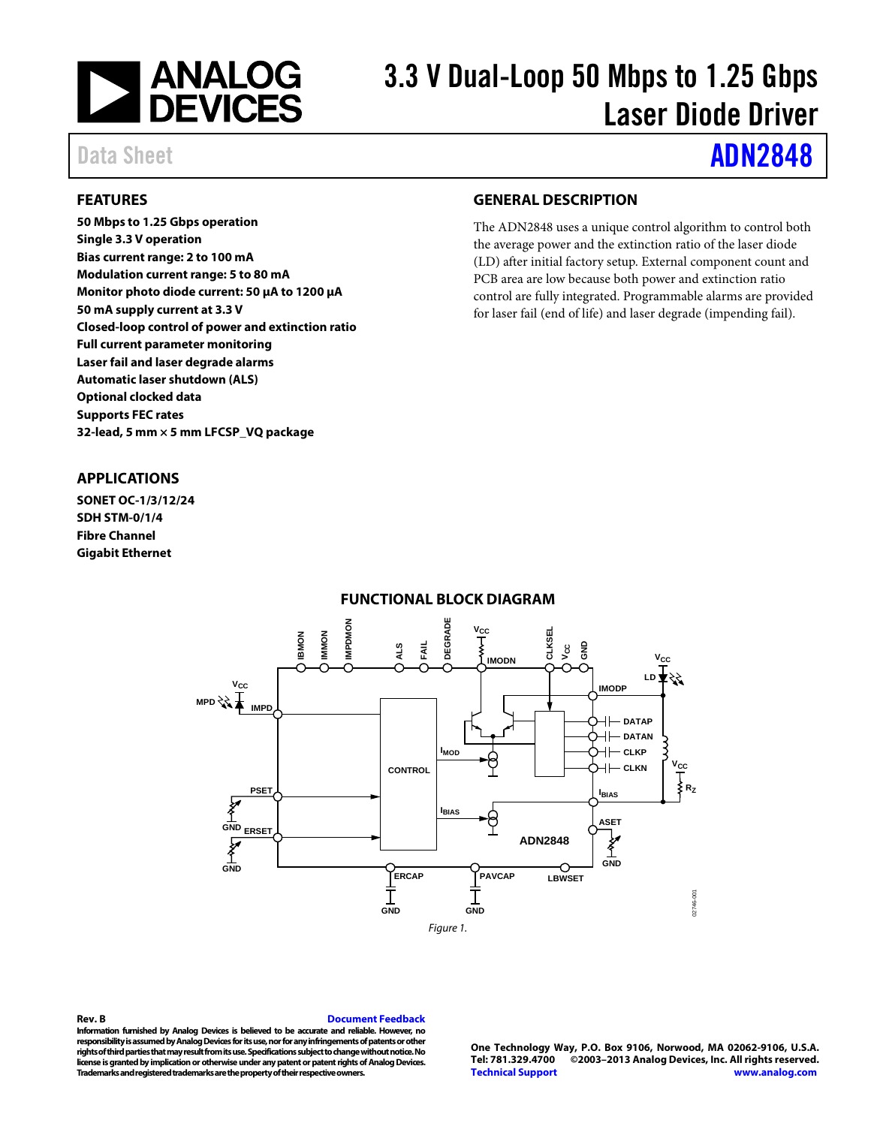

# 3.3 V Dual-Loop 50 Mbps to 1.25 Gbps Laser Diode Driver

# Data Sheet **[ADN2848](http://www.analog.com/ADN2848)**

### <span id="page-0-0"></span>**FEATURES**

**50 Mbps to 1.25 Gbps operation Single 3.3 V operation Bias current range: 2 to 100 mA Modulation current range: 5 to 80 mA Monitor photo diode current: 50 μA to 1200 μA 50 mA supply current at 3.3 V Closed-loop control of power and extinction ratio Full current parameter monitoring Laser fail and laser degrade alarms Automatic laser shutdown (ALS) Optional clocked data Supports FEC rates 32-lead, 5 mm × 5 mm LFCSP\_VQ package**

## <span id="page-0-2"></span>**GENERAL DESCRIPTION**

The ADN2848 uses a unique control algorithm to control both the average power and the extinction ratio of the laser diode (LD) after initial factory setup. External component count and PCB area are low because both power and extinction ratio control are fully integrated. Programmable alarms are provided for laser fail (end of life) and laser degrade (impending fail).

### <span id="page-0-1"></span>**APPLICATIONS**

<span id="page-0-3"></span>**SONET OC-1/3/12/24 SDH STM-0/1/4 Fibre Channel Gigabit Ethernet**

### **FUNCTIONAL BLOCK DIAGRAM**



#### **Rev. B [Document Feedback](https://form.analog.com/Form_Pages/feedback/documentfeedback.aspx?doc=ADN2848.pdf&product=ADN2848&rev=B)**

**Information furnished by Analog Devices is believed to be accurate and reliable. However, no responsibility is assumed by Analog Devices for its use, nor for any infringements of patents or other rights of third parties that may result from its use. Specifications subject to change without notice. No license is granted by implication or otherwise under any patent or patent rights of Analog Devices. Trademarksand registered trademarks are the property of their respective owners.**

**One Technology Way, P.O. Box 9106, Norwood, MA 02062-9106, U.S.A. Tel: 781.329.4700 ©2003–2013 Analog Devices, Inc. All rights reserved. [Technical Support](http://www.analog.com/en/content/technical_support_page/fca.html) [www.analog.com](http://www.analog.com/)**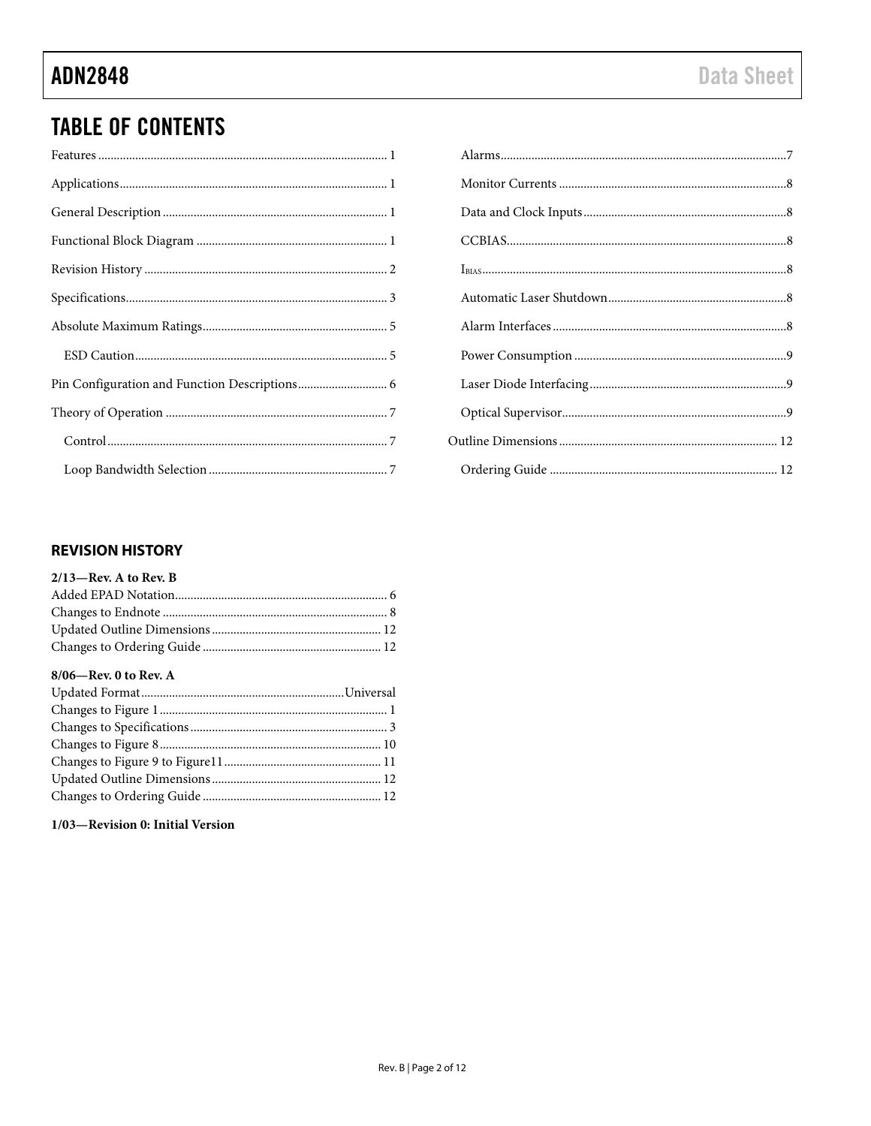# **TABLE OF CONTENTS**

# <span id="page-1-0"></span>**REVISION HISTORY**

#### $2/13$ -Rev. A to Rev. B

#### 8/06-Rev. 0 to Rev. A

## 1/03-Revision 0: Initial Version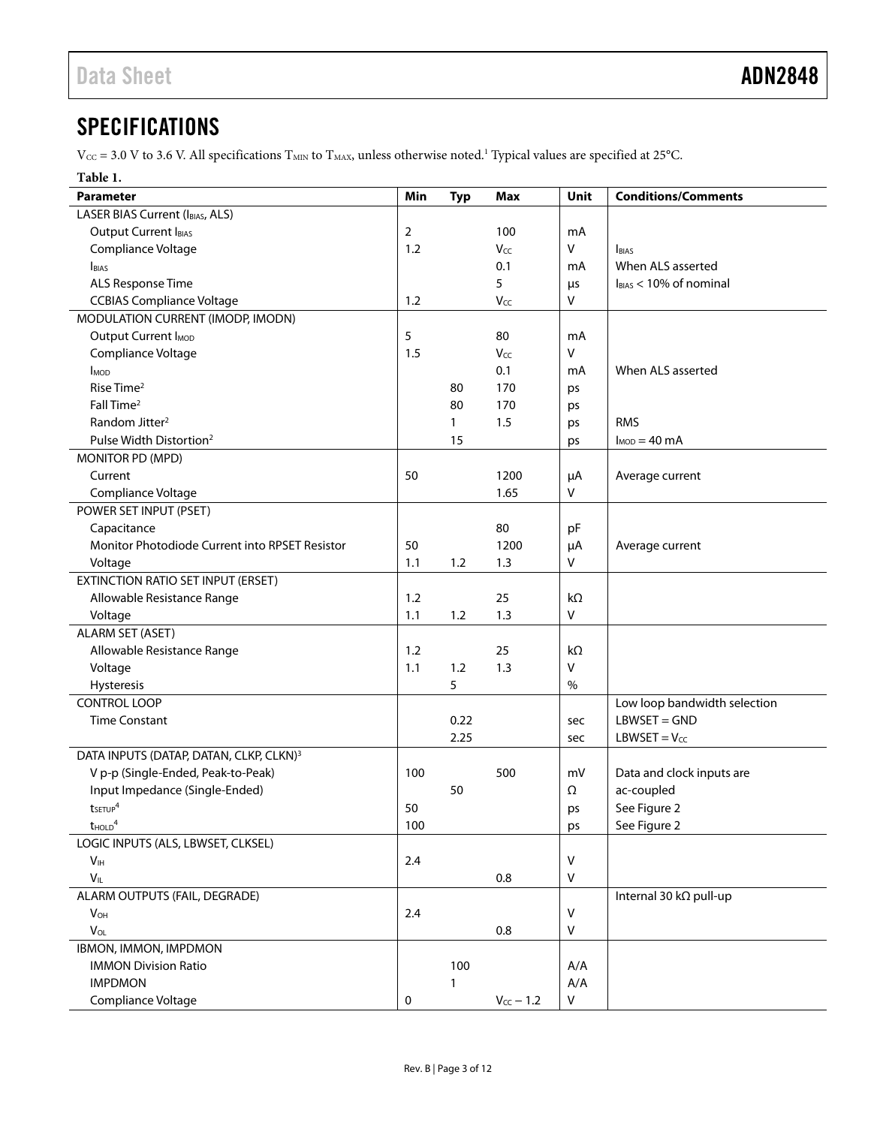# <span id="page-2-0"></span>**SPECIFICATIONS**

 $V_{\text{CC}}$  = 3.0 V to 3.6 V. All specifications  $T_{\text{MIN}}$  to  $T_{\text{MAX}}$ , unless otherwise noted.<sup>1</sup> Typical values are specified at 25°C.

### **Table 1.**

| Parameter                                           | Min         | <b>Typ</b>   | <b>Max</b>     | Unit         | <b>Conditions/Comments</b>   |
|-----------------------------------------------------|-------------|--------------|----------------|--------------|------------------------------|
| <b>LASER BIAS Current (IBIAS, ALS)</b>              |             |              |                |              |                              |
| Output Current IBIAS                                | 2           |              | 100            | mA           |                              |
| Compliance Voltage                                  | 1.2         |              | Vcc            | $\vee$       | <b>BIAS</b>                  |
| <b>BIAS</b>                                         |             |              | 0.1            | mA           | When ALS asserted            |
| ALS Response Time                                   |             |              | 5              | $\mu$ s      | $l_{BIAS}$ < 10% of nominal  |
| <b>CCBIAS Compliance Voltage</b>                    | 1.2         |              | Vcc            | $\mathsf{V}$ |                              |
| MODULATION CURRENT (IMODP, IMODN)                   |             |              |                |              |                              |
| Output Current I <sub>MOD</sub>                     | 5           |              | 80             | mA           |                              |
| Compliance Voltage                                  | 1.5         |              | Vcc            | V            |                              |
| <b>I</b> <sub>MOD</sub>                             |             |              | 0.1            | mA           | When ALS asserted            |
| Rise Time <sup>2</sup>                              |             | 80           | 170            | ps           |                              |
| Fall Time <sup>2</sup>                              |             | 80           | 170            | ps           |                              |
| Random Jitter <sup>2</sup>                          |             | $\mathbf{1}$ | 1.5            | ps           | <b>RMS</b>                   |
| Pulse Width Distortion <sup>2</sup>                 |             | 15           |                | ps           | $I_{MOD} = 40$ mA            |
| MONITOR PD (MPD)                                    |             |              |                |              |                              |
| Current                                             | 50          |              | 1200           | μA           | Average current              |
| Compliance Voltage                                  |             |              | 1.65           | V            |                              |
| POWER SET INPUT (PSET)                              |             |              |                |              |                              |
| Capacitance                                         |             |              | 80             | pF           |                              |
| Monitor Photodiode Current into RPSET Resistor      | 50          |              | 1200           | $\mu$ A      | Average current              |
| Voltage                                             | 1.1         | 1.2          | 1.3            | V            |                              |
| <b>EXTINCTION RATIO SET INPUT (ERSET)</b>           |             |              |                |              |                              |
| Allowable Resistance Range                          | 1.2         |              | 25             | $k\Omega$    |                              |
| Voltage                                             | 1.1         | 1.2          | 1.3            | $\vee$       |                              |
| <b>ALARM SET (ASET)</b>                             |             |              |                |              |                              |
| Allowable Resistance Range                          | 1.2         |              | 25             | kΩ           |                              |
| Voltage                                             | 1.1         | 1.2          | 1.3            | $\vee$       |                              |
| Hysteresis                                          |             | 5            |                | $\%$         |                              |
| <b>CONTROL LOOP</b>                                 |             |              |                |              | Low loop bandwidth selection |
| <b>Time Constant</b>                                |             | 0.22         |                | sec          | $LBWSET = GND$               |
|                                                     |             | 2.25         |                | sec          | $LBWSET = V_{CC}$            |
| DATA INPUTS (DATAP, DATAN, CLKP, CLKN) <sup>3</sup> |             |              |                |              |                              |
| V p-p (Single-Ended, Peak-to-Peak)                  | 100         |              | 500            | mV           | Data and clock inputs are    |
| Input Impedance (Single-Ended)                      |             | 50           |                | Ω            | ac-coupled                   |
| tsETUP <sup>4</sup>                                 | 50          |              |                | ps           | See Figure 2                 |
| $t$ HOLD <sup>4</sup>                               | 100         |              |                | ps           | See Figure 2                 |
| LOGIC INPUTS (ALS, LBWSET, CLKSEL)                  |             |              |                |              |                              |
| $\mathsf{V}_{\mathsf{IH}}$                          | 2.4         |              |                | $\vee$       |                              |
| $V_{\parallel}$                                     |             |              | 0.8            | $\mathsf{V}$ |                              |
| ALARM OUTPUTS (FAIL, DEGRADE)                       |             |              |                |              | Internal 30 kΩ pull-up       |
| $V_{OH}$                                            | 2.4         |              |                | $\vee$       |                              |
| $V_{OL}$                                            |             |              | $0.8\,$        | $\vee$       |                              |
| IBMON, IMMON, IMPDMON                               |             |              |                |              |                              |
| <b>IMMON Division Ratio</b>                         |             | 100          |                | A/A          |                              |
| <b>IMPDMON</b>                                      |             | 1            |                | A/A          |                              |
| Compliance Voltage                                  | $\mathbf 0$ |              | $V_{CC}$ - 1.2 | V            |                              |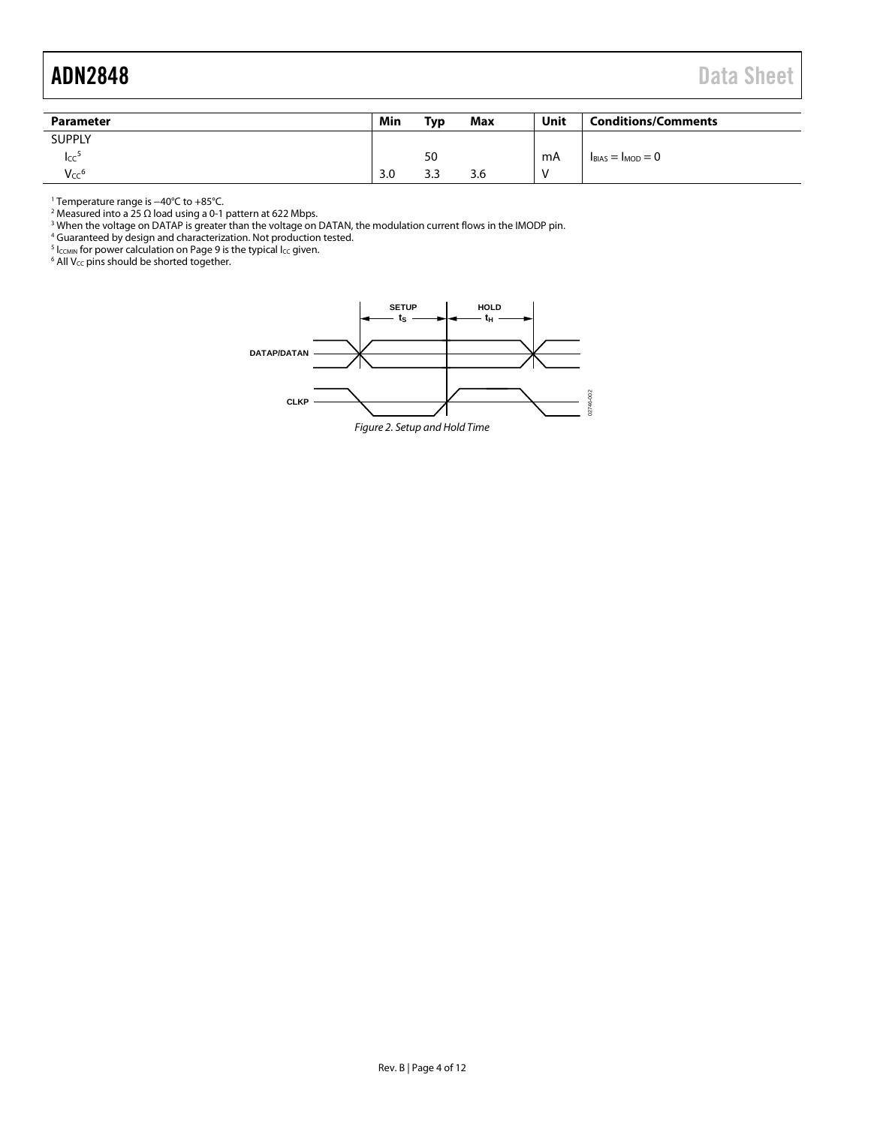<span id="page-3-1"></span>

| <b>Parameter</b> | Min | <b>Typ</b> | Max | Unit | <b>Conditions/Comments</b> |
|------------------|-----|------------|-----|------|----------------------------|
| <b>SUPPLY</b>    |     |            |     |      |                            |
| Icc              |     | 50         |     | mA   | $I_{BIAS} = I_{MOD} = 0$   |
| Vcc <sup>6</sup> | 3.0 | 3.3        | 3.6 |      |                            |

<sup>1</sup> Temperature range is −40°C to +85°C.

<sup>2</sup> Measured into a 25 Ω load using a 0-1 pattern at 622 Mbps.

 $^3$  When the voltage on DATAP is greater than the voltage on DATAN, the modulation current flows in the IMODP pin.

<sup>4</sup> Guaranteed by design and characterization. Not production tested.

 $^5$  Iccmin for power calculation on Page 9 is the typical Icc given.

 $6$  All V<sub>CC</sub> pins should be shorted together.

<span id="page-3-0"></span>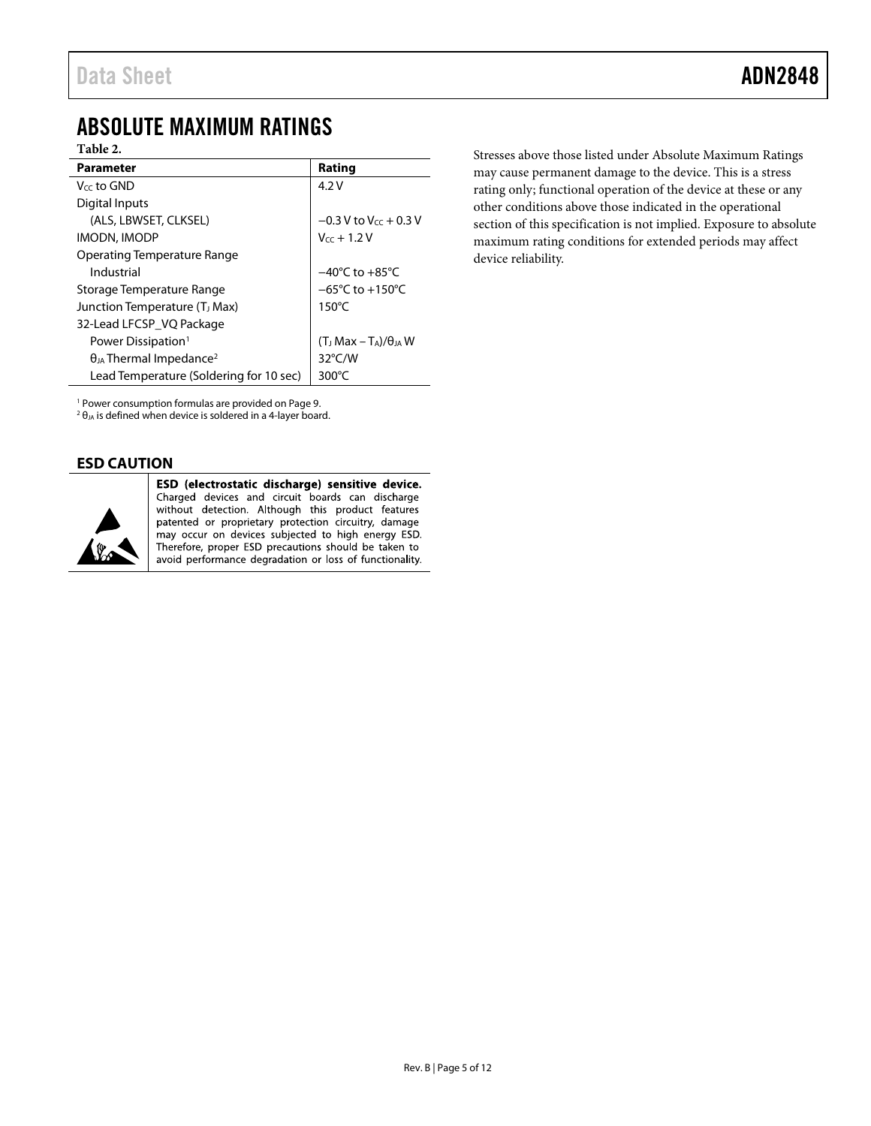# <span id="page-4-0"></span>ABSOLUTE MAXIMUM RATINGS

## **Table 2.**

| Parameter                                    | Rating                               |
|----------------------------------------------|--------------------------------------|
| $V_{cc}$ to GND                              | 4.2V                                 |
| Digital Inputs                               |                                      |
| (ALS, LBWSET, CLKSEL)                        | $-0.3$ V to V <sub>cc</sub> + 0.3 V  |
| IMODN, IMODP                                 | $V_{cc}$ + 1.2 V                     |
| Operating Temperature Range                  |                                      |
| Industrial                                   | $-40^{\circ}$ C to $+85^{\circ}$ C   |
| Storage Temperature Range                    | $-65^{\circ}$ C to +150 $^{\circ}$ C |
| Junction Temperature (T <sub>J</sub> Max)    | $150^{\circ}$ C                      |
| 32-Lead LFCSP_VQ Package                     |                                      |
| Power Dissipation <sup>1</sup>               | $(T_J Max - T_A)/\theta_{JA}$ W      |
| $\theta_{JA}$ Thermal Impedance <sup>2</sup> | $32^{\circ}$ C/W                     |
| Lead Temperature (Soldering for 10 sec)      | 300 $\degree$ C                      |

Stresses above those listed under Absolute Maximum Ratings may cause permanent damage to the device. This is a stress rating only; functional operation of the device at these or any other conditions above those indicated in the operational section of this specification is not implied. Exposure to absolute maximum rating conditions for extended periods may affect device reliability.

<sup>1</sup> Power consumption formulas are provided on Page 9.

 $2\theta_{JA}$  is defined when device is soldered in a 4-layer board.

## <span id="page-4-1"></span>**ESD CAUTION**



ESD (electrostatic discharge) sensitive device. Charged devices and circuit boards can discharge without detection. Although this product features patented or proprietary protection circuitry, damage may occur on devices subjected to high energy ESD. Therefore, proper ESD precautions should be taken to avoid performance degradation or loss of functionality.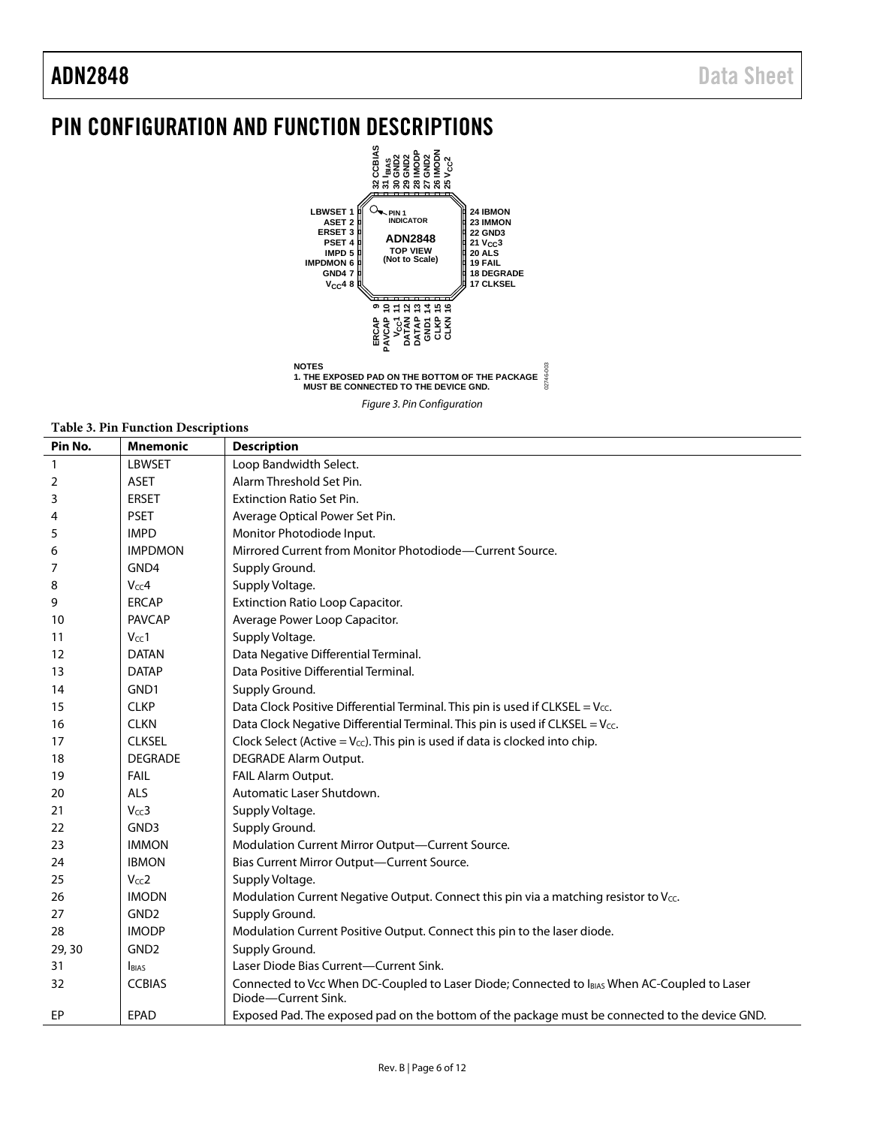# <span id="page-5-0"></span>PIN CONFIGURATION AND FUNCTION DESCRIPTIONS



**NOTES 1. THE EXPOSED PAD ON THE BOTTOM OF THE PACKAGE MUST BE CONNECTED TO THE DEVICE GND.**

#### **Table 3. Pin Function Descriptions**

| Pin No.        | <b>Mnemonic</b>  | <b>Description</b>                                                                                                  |
|----------------|------------------|---------------------------------------------------------------------------------------------------------------------|
|                | <b>LBWSET</b>    | Loop Bandwidth Select.                                                                                              |
| $\overline{1}$ |                  | Alarm Threshold Set Pin.                                                                                            |
| 2              | <b>ASET</b>      |                                                                                                                     |
| 3              | <b>ERSET</b>     | <b>Extinction Ratio Set Pin.</b>                                                                                    |
| 4              | <b>PSET</b>      | Average Optical Power Set Pin.                                                                                      |
| 5              | <b>IMPD</b>      | Monitor Photodiode Input.                                                                                           |
| 6              | <b>IMPDMON</b>   | Mirrored Current from Monitor Photodiode-Current Source.                                                            |
| 7              | GND4             | Supply Ground.                                                                                                      |
| 8              | $V_{cc}$ 4       | Supply Voltage.                                                                                                     |
| 9              | <b>ERCAP</b>     | <b>Extinction Ratio Loop Capacitor.</b>                                                                             |
| 10             | <b>PAVCAP</b>    | Average Power Loop Capacitor.                                                                                       |
| 11             | $V_{CC}1$        | Supply Voltage.                                                                                                     |
| 12             | <b>DATAN</b>     | Data Negative Differential Terminal.                                                                                |
| 13             | <b>DATAP</b>     | Data Positive Differential Terminal.                                                                                |
| 14             | GND1             | Supply Ground.                                                                                                      |
| 15             | <b>CLKP</b>      | Data Clock Positive Differential Terminal. This pin is used if CLKSEL = $V_{\text{CC}}$ .                           |
| 16             | <b>CLKN</b>      | Data Clock Negative Differential Terminal. This pin is used if CLKSEL = Vcc.                                        |
| 17             | <b>CLKSEL</b>    | Clock Select (Active = $V_{cc}$ ). This pin is used if data is clocked into chip.                                   |
| 18             | <b>DEGRADE</b>   | DEGRADE Alarm Output.                                                                                               |
| 19             | <b>FAIL</b>      | FAIL Alarm Output.                                                                                                  |
| 20             | ALS              | Automatic Laser Shutdown.                                                                                           |
| 21             | $V_{cc}$ 3       | Supply Voltage.                                                                                                     |
| 22             | GND3             | Supply Ground.                                                                                                      |
| 23             | <b>IMMON</b>     | Modulation Current Mirror Output-Current Source.                                                                    |
| 24             | <b>IBMON</b>     | Bias Current Mirror Output-Current Source.                                                                          |
| 25             | $V_{CC}2$        | Supply Voltage.                                                                                                     |
| 26             | <b>IMODN</b>     | Modulation Current Negative Output. Connect this pin via a matching resistor to Vcc.                                |
| 27             | GND <sub>2</sub> | Supply Ground.                                                                                                      |
| 28             | <b>IMODP</b>     | Modulation Current Positive Output. Connect this pin to the laser diode.                                            |
| 29, 30         | GND <sub>2</sub> | Supply Ground.                                                                                                      |
| 31             | <b>BIAS</b>      | Laser Diode Bias Current-Current Sink.                                                                              |
| 32             | <b>CCBIAS</b>    | Connected to Vcc When DC-Coupled to Laser Diode; Connected to IBIAS When AC-Coupled to Laser<br>Diode-Current Sink. |
| <b>EP</b>      | <b>EPAD</b>      | Exposed Pad. The exposed pad on the bottom of the package must be connected to the device GND.                      |

*Figure 3. Pin Configuration*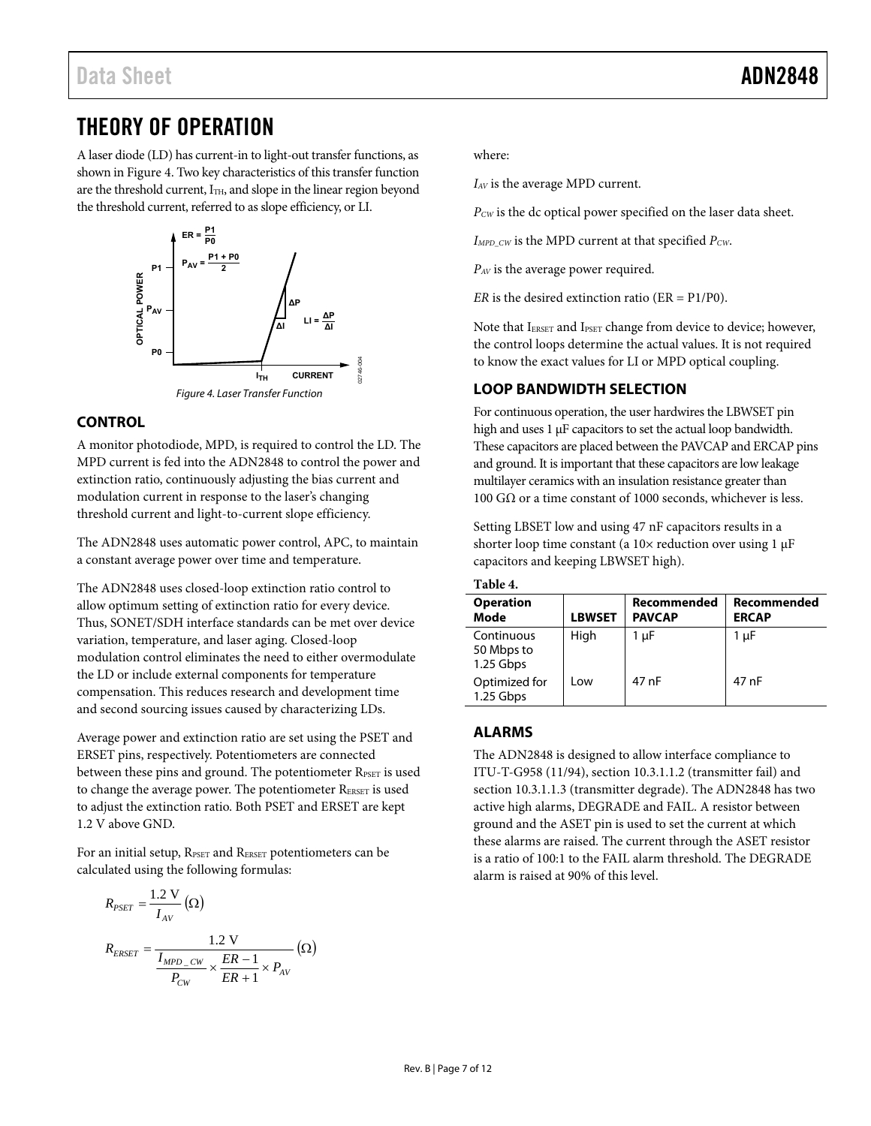# <span id="page-6-0"></span>THEORY OF OPERATION

A laser diode (LD) has current-in to light-out transfer functions, as shown i[n Figure 4.](#page-6-4) Two key characteristics of this transfer function are the threshold current, I<sub>TH</sub>, and slope in the linear region beyond the threshold current, referred to as slope efficiency, or LI.



# <span id="page-6-4"></span><span id="page-6-1"></span>**CONTROL**

A monitor photodiode, MPD, is required to control the LD. The MPD current is fed into the ADN2848 to control the power and extinction ratio, continuously adjusting the bias current and modulation current in response to the laser's changing threshold current and light-to-current slope efficiency.

The ADN2848 uses automatic power control, APC, to maintain a constant average power over time and temperature.

The ADN2848 uses closed-loop extinction ratio control to allow optimum setting of extinction ratio for every device. Thus, SONET/SDH interface standards can be met over device variation, temperature, and laser aging. Closed-loop modulation control eliminates the need to either overmodulate the LD or include external components for temperature compensation. This reduces research and development time and second sourcing issues caused by characterizing LDs.

Average power and extinction ratio are set using the PSET and ERSET pins, respectively. Potentiometers are connected between these pins and ground. The potentiometer RPSET is used to change the average power. The potentiometer RERSET is used to adjust the extinction ratio. Both PSET and ERSET are kept 1.2 V above GND.

For an initial setup, RPSET and RERSET potentiometers can be calculated using the following formulas:

$$
R_{PSET} = \frac{1.2 \text{ V}}{I_{AV}} (\Omega)
$$
  

$$
R_{ERSET} = \frac{1.2 \text{ V}}{I_{MPD_CW}} \times \frac{ER - 1}{ER + 1} \times P_{AV} (\Omega)
$$

where:

*IAV* is the average MPD current.

*PCW* is the dc optical power specified on the laser data sheet.

*IMPD\_CW* is the MPD current at that specified *PCW*.

*PAV* is the average power required.

*ER* is the desired extinction ratio (ER = P1/P0).

Note that IERSET and IPSET change from device to device; however, the control loops determine the actual values. It is not required to know the exact values for LI or MPD optical coupling.

## <span id="page-6-2"></span>**LOOP BANDWIDTH SELECTION**

For continuous operation, the user hardwires the LBWSET pin high and uses 1 μF capacitors to set the actual loop bandwidth. These capacitors are placed between the PAVCAP and ERCAP pins and ground. It is important that these capacitors are low leakage multilayer ceramics with an insulation resistance greater than 100 GΩ or a time constant of 1000 seconds, whichever is less.

Setting LBSET low and using 47 nF capacitors results in a shorter loop time constant (a 10× reduction over using 1 μF capacitors and keeping LBWSET high).

| Table 4.                              |               |                              |                             |  |  |  |
|---------------------------------------|---------------|------------------------------|-----------------------------|--|--|--|
| <b>Operation</b><br>Mode              | <b>LBWSET</b> | Recommended<br><b>PAVCAP</b> | Recommended<br><b>ERCAP</b> |  |  |  |
| Continuous<br>50 Mbps to<br>1.25 Gbps | High          | $1 \mu F$                    | 1 µF                        |  |  |  |
| Optimized for<br>1.25 Gbps            | Low           | 47 nF                        | 47 nF                       |  |  |  |

# <span id="page-6-3"></span>**ALARMS**

The ADN2848 is designed to allow interface compliance to ITU-T-G958 (11/94), section 10.3.1.1.2 (transmitter fail) and section 10.3.1.1.3 (transmitter degrade). The ADN2848 has two active high alarms, DEGRADE and FAIL. A resistor between ground and the ASET pin is used to set the current at which these alarms are raised. The current through the ASET resistor is a ratio of 100:1 to the FAIL alarm threshold. The DEGRADE alarm is raised at 90% of this level.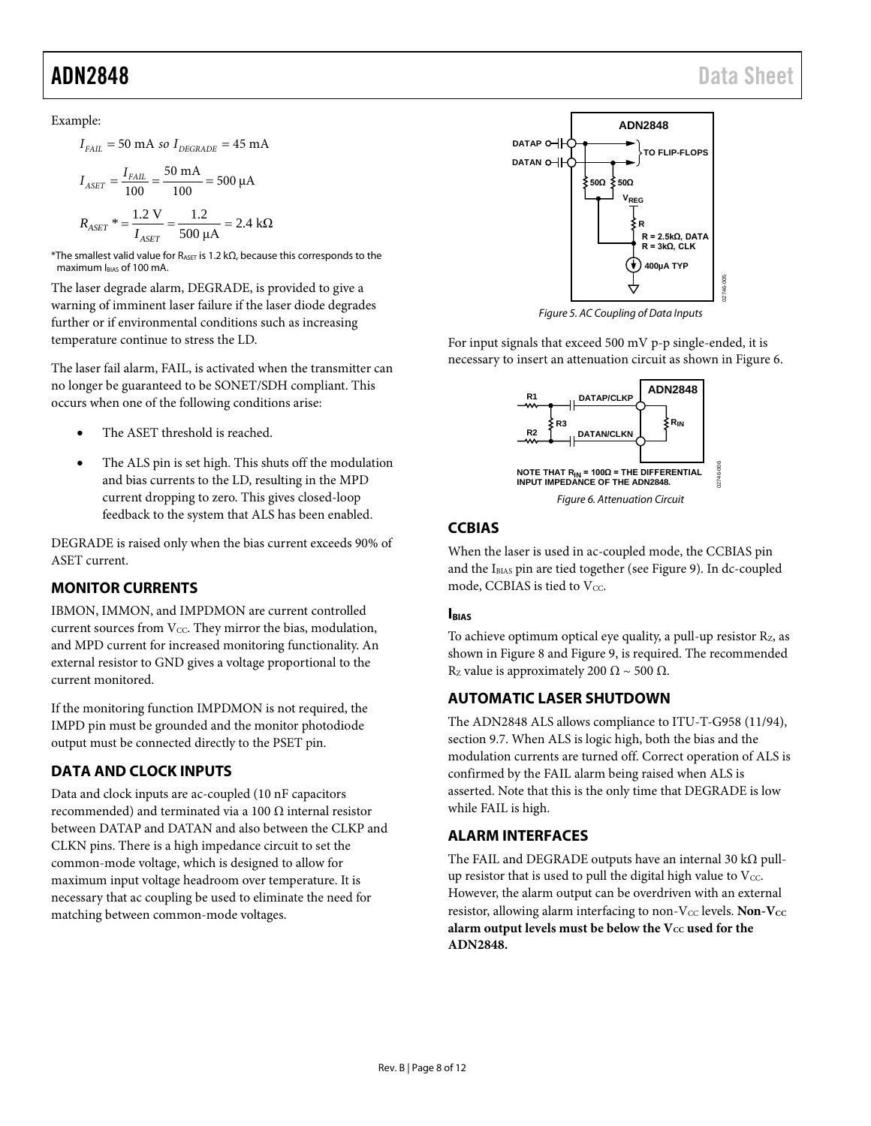Example:

$$
I_{\text{FAIL}} = 50 \text{ mA so } I_{\text{DEGRADE}} = 45 \text{ mA}
$$

$$
I_{ASET} = \frac{I_{FAIL}}{100} = \frac{50 \text{ mA}}{100} = 500 \text{ }\mu\text{A}
$$

$$
R_{ASET}^* = \frac{1.2 \text{ V}}{I_{ASET}} = \frac{1.2}{500 \text{ }\mu\text{A}} = 2.4 \text{ }\text{k}\Omega
$$

\*The smallest valid value for  $R_{\text{ASET}}$  is 1.2 kΩ, because this corresponds to the maximum IBIAS of 100 mA.

The laser degrade alarm, DEGRADE, is provided to give a warning of imminent laser failure if the laser diode degrades further or if environmental conditions such as increasing temperature continue to stress the LD.

The laser fail alarm, FAIL, is activated when the transmitter can no longer be guaranteed to be SONET/SDH compliant. This occurs when one of the following conditions arise:

- The ASET threshold is reached.
- The ALS pin is set high. This shuts off the modulation and bias currents to the LD, resulting in the MPD current dropping to zero. This gives closed-loop feedback to the system that ALS has been enabled.

DEGRADE is raised only when the bias current exceeds 90% of ASET current.

# <span id="page-7-0"></span>**MONITOR CURRENTS**

IBMON, IMMON, and IMPDMON are current controlled current sources from  $V_{CC}$ . They mirror the bias, modulation, and MPD current for increased monitoring functionality. An external resistor to GND gives a voltage proportional to the current monitored.

If the monitoring function IMPDMON is not required, the IMPD pin must be grounded and the monitor photodiode output must be connected directly to the PSET pin.

# <span id="page-7-1"></span>**DATA AND CLOCK INPUTS**

Data and clock inputs are ac-coupled (10 nF capacitors recommended) and terminated via a 100 Ω internal resistor between DATAP and DATAN and also between the CLKP and CLKN pins. There is a high impedance circuit to set the common-mode voltage, which is designed to allow for maximum input voltage headroom over temperature. It is necessary that ac coupling be used to eliminate the need for matching between common-mode voltages.



*Figure 5. AC Coupling of Data Inputs*

For input signals that exceed 500 mV p-p single-ended, it is necessary to insert an attenuation circuit as shown i[n Figure 6.](#page-7-6)



# <span id="page-7-6"></span><span id="page-7-2"></span>**CCBIAS**

When the laser is used in ac-coupled mode, the CCBIAS pin and the IBIAS pin are tied together (se[e Figure 9\)](#page-10-0). In dc-coupled mode, CCBIAS is tied to  $V_{CC}$ .

### <span id="page-7-3"></span>**IBIAS**

To achieve optimum optical eye quality, a pull-up resistor Rz, as shown in Figure 8 and Figure 9, is required. The recommended Rz value is approximately 200 Ω ~ 500 Ω.

# <span id="page-7-4"></span>**AUTOMATIC LASER SHUTDOWN**

The ADN2848 ALS allows compliance to ITU-T-G958 (11/94), section 9.7. When ALS is logic high, both the bias and the modulation currents are turned off. Correct operation of ALS is confirmed by the FAIL alarm being raised when ALS is asserted. Note that this is the only time that DEGRADE is low while FAIL is high.

# <span id="page-7-5"></span>**ALARM INTERFACES**

The FAIL and DEGRADE outputs have an internal 30 k $\Omega$  pullup resistor that is used to pull the digital high value to  $V_{\text{CC}}$ . However, the alarm output can be overdriven with an external resistor, allowing alarm interfacing to non-V<sub>CC</sub> levels. Non-V<sub>CC</sub> alarm output levels must be below the V<sub>CC</sub> used for the **ADN2848.**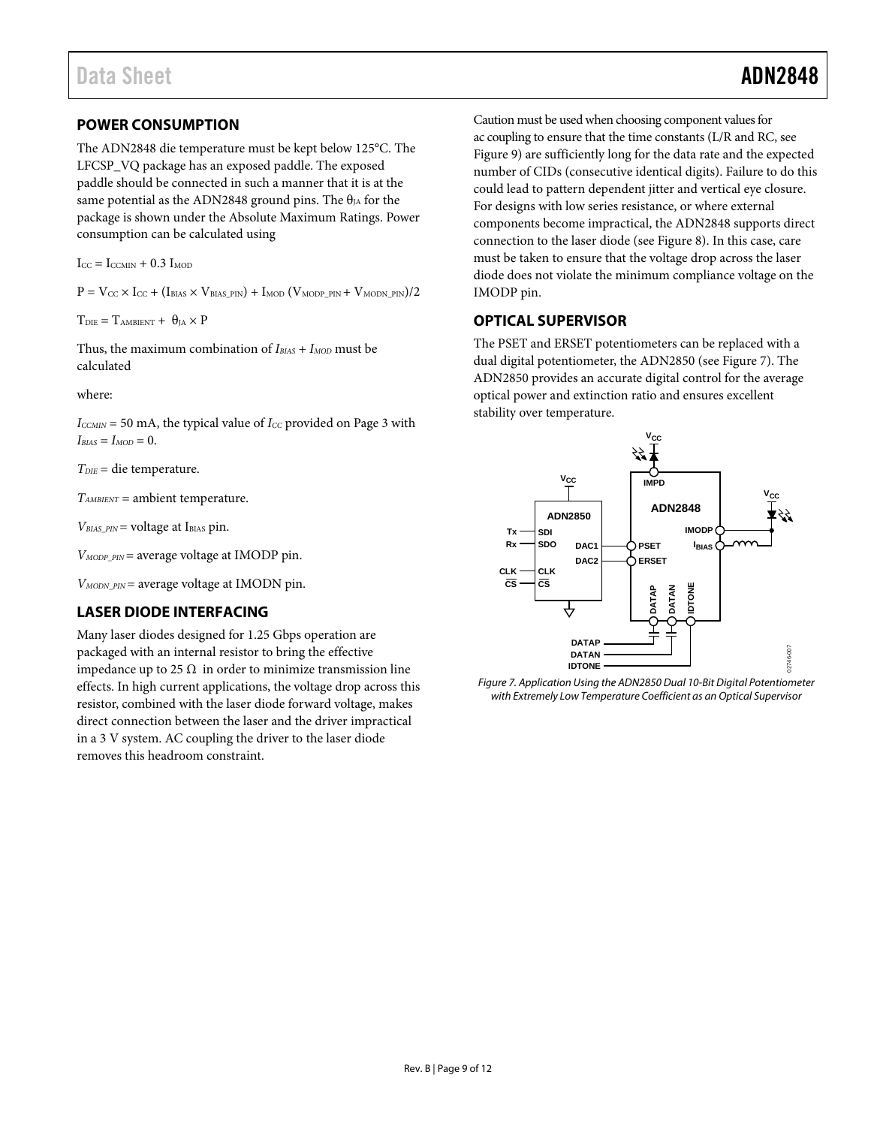## <span id="page-8-0"></span>**POWER CONSUMPTION**

The ADN2848 die temperature must be kept below 125°C. The LFCSP\_VQ package has an exposed paddle. The exposed paddle should be connected in such a manner that it is at the same potential as the ADN2848 ground pins. The  $\theta_{JA}$  for the package is shown under the Absolute Maximum Ratings. Power consumption can be calculated using

 $I_{CC} = I_{CCMIN} + 0.3 I_{MOD}$ 

 $P = V_{CC} \times I_{CC} + (I_{BIAS} \times V_{BIAS\_PIN}) + I_{MOD} (V_{MODP\_PIN} + V_{MON\_PIN})/2$ 

 $T_{\text{DIE}} = T_{\text{AMBIENT}} + \theta_{\text{IA}} \times P$ 

Thus, the maximum combination of  $I_{BIAS} + I_{MOD}$  must be calculated

where:

 $I_{CCMIN}$  = 50 mA, the typical value of  $I_{CC}$  provided on Page 3 with  $I_{BIAS} = I_{MOD} = 0.$ 

*TDIE* = die temperature.

*TAMBIENT* = ambient temperature.

 $V_{BIAS\_PIN}$  = voltage at I<sub>BIAS</sub> pin.

*VMODP\_PIN* = average voltage at IMODP pin.

*VMODN\_PIN* = average voltage at IMODN pin.

### <span id="page-8-1"></span>**LASER DIODE INTERFACING**

Many laser diodes designed for 1.25 Gbps operation are packaged with an internal resistor to bring the effective impedance up to 25  $Ω$  in order to minimize transmission line effects. In high current applications, the voltage drop across this resistor, combined with the laser diode forward voltage, makes direct connection between the laser and the driver impractical in a 3 V system. AC coupling the driver to the laser diode removes this headroom constraint.

Caution must be used when choosing component values for ac coupling to ensure that the time constants (L/R and RC, see [Figure 9\)](#page-10-0) are sufficiently long for the data rate and the expected number of CIDs (consecutive identical digits). Failure to do this could lead to pattern dependent jitter and vertical eye closure. For designs with low series resistance, or where external components become impractical, the ADN2848 supports direct connection to the laser diode (se[e Figure 8\)](#page-9-0). In this case, care must be taken to ensure that the voltage drop across the laser diode does not violate the minimum compliance voltage on the IMODP pin.

### <span id="page-8-2"></span>**OPTICAL SUPERVISOR**

The PSET and ERSET potentiometers can be replaced with a dual digital potentiometer, the ADN2850 (see [Figure 7\)](#page-8-3). The ADN2850 provides an accurate digital control for the average optical power and extinction ratio and ensures excellent stability over temperature.



<span id="page-8-3"></span>Figure 7. Application Using the ADN2850 Dual 10-Bit Digital Potentiometer with Extremely Low Temperature Coefficient as an Optical Supervisor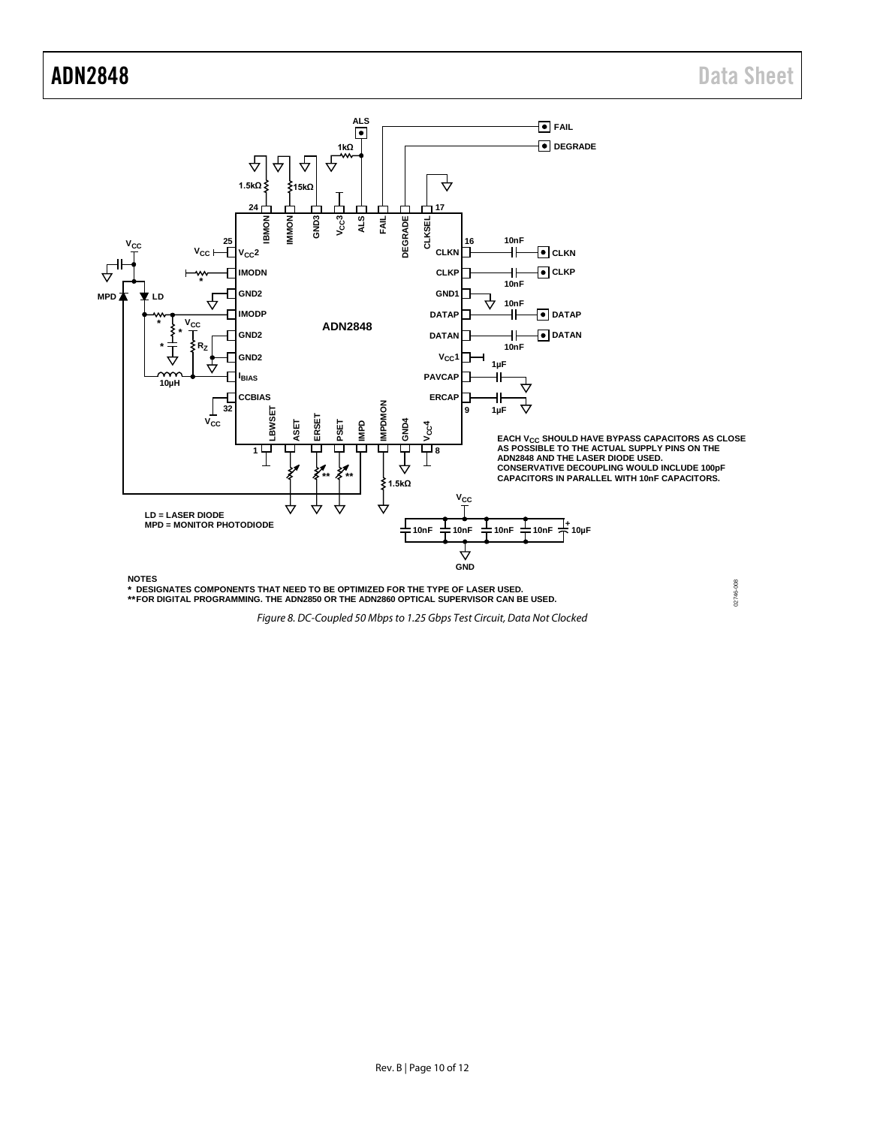02746-008

02746-008



<span id="page-9-0"></span>

**NOTES DESIGNATES COMPONENTS THAT NEED TO BE OPTIMIZED FOR THE TYPE OF LASER USED. FOR DIGITAL PROGRAMMING. THE ADN2850 OR THE ADN2860 OPTICAL SUPERVISOR CAN BE USED. \* \*\***

*Figure 8. DC-Coupled 50 Mbps to 1.25 Gbps Test Circuit, Data Not Clocked*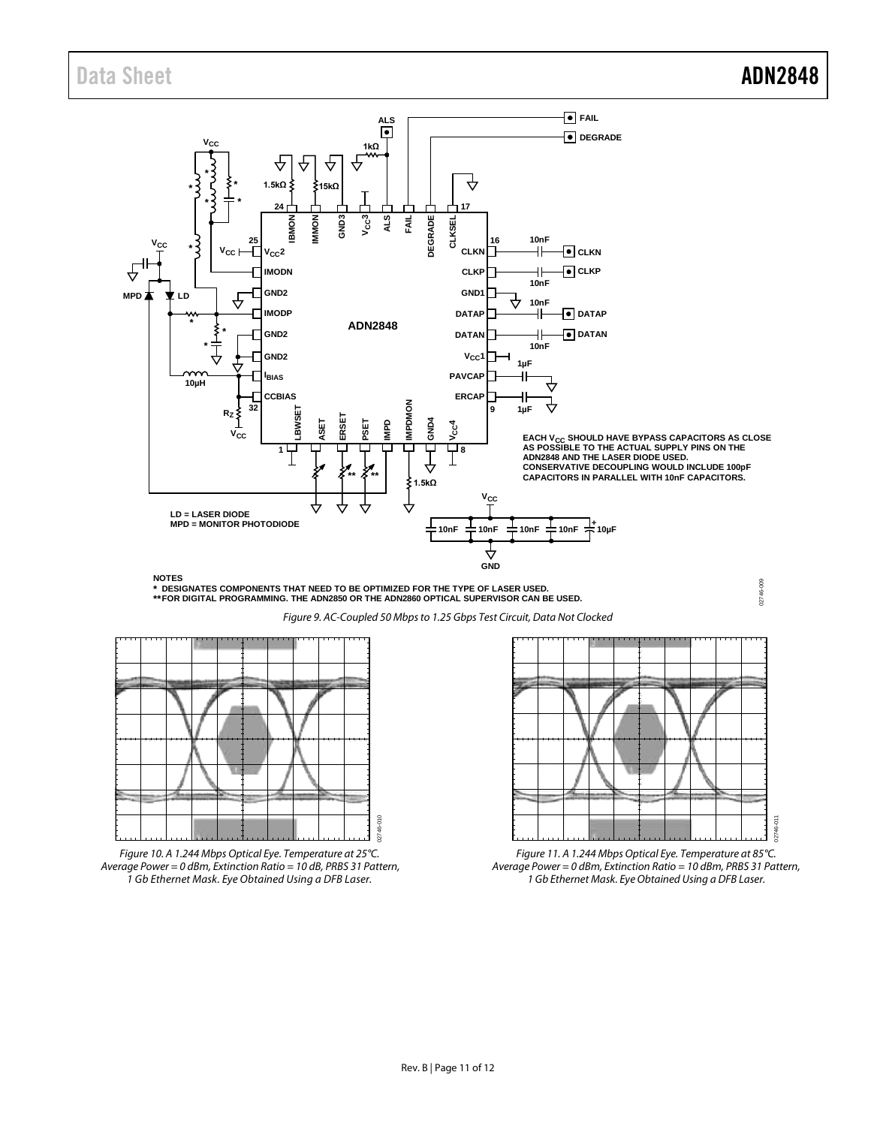02746-009

02746-009



**NOTES**

**DESIGNATES COMPONENTS THAT NEED TO BE OPTIMIZED FOR THE TYPE OF LASER USED. FOR DIGITAL PROGRAMMING. THE ADN2850 OR THE ADN2860 OPTICAL SUPERVISOR CAN BE USED. \* \*\***

*Figure 9. AC-Coupled 50 Mbps to 1.25 Gbps Test Circuit, Data Not Clocked*

<span id="page-10-0"></span>

*Figure 10. A 1.244 Mbps Optical Eye. Temperature at 25°C. Average Power = 0 dBm, Extinction Ratio = 10 dB, PRBS 31 Pattern, 1 Gb Ethernet Mask. Eye Obtained Using a DFB Laser.*



*Figure 11. A 1.244 Mbps Optical Eye. Temperature at 85°C. Average Power = 0 dBm, Extinction Ratio = 10 dBm, PRBS 31 Pattern, 1 Gb Ethernet Mask. Eye Obtained Using a DFB Laser.*